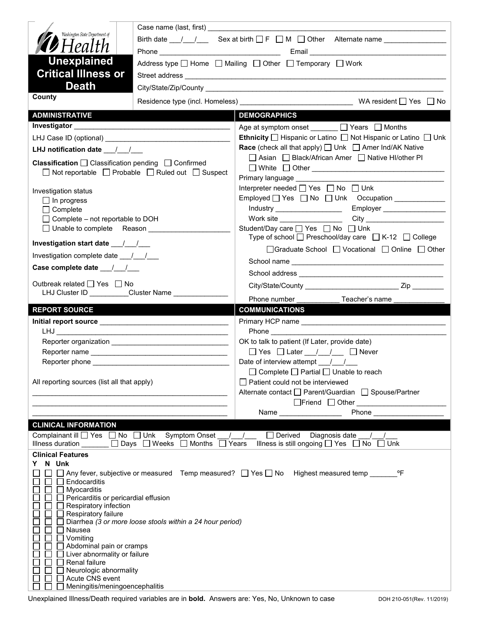|                                                                                          | Case name (last, first)                                                           |                                                                                                                                              |  |
|------------------------------------------------------------------------------------------|-----------------------------------------------------------------------------------|----------------------------------------------------------------------------------------------------------------------------------------------|--|
| Washington State Department of                                                           | Birth date $1 \quad 1$ Sex at birth $\Box$ F $\Box$ M $\Box$ Other Alternate name |                                                                                                                                              |  |
| <b>D</b> Health                                                                          |                                                                                   |                                                                                                                                              |  |
| <b>Unexplained</b>                                                                       |                                                                                   |                                                                                                                                              |  |
| <b>Critical Illness or</b>                                                               | Address type $\Box$ Home $\Box$ Mailing $\Box$ Other $\Box$ Temporary $\Box$ Work |                                                                                                                                              |  |
| <b>Death</b>                                                                             |                                                                                   |                                                                                                                                              |  |
| County                                                                                   |                                                                                   |                                                                                                                                              |  |
|                                                                                          |                                                                                   |                                                                                                                                              |  |
| <b>ADMINISTRATIVE</b>                                                                    |                                                                                   | <b>DEMOGRAPHICS</b>                                                                                                                          |  |
|                                                                                          |                                                                                   | Age at symptom onset _______ □ Years □ Months                                                                                                |  |
|                                                                                          |                                                                                   | <b>Ethnicity</b> $\Box$ Hispanic or Latino $\Box$ Not Hispanic or Latino $\Box$ Unk                                                          |  |
| LHJ notification date 11                                                                 |                                                                                   | <b>Race</b> (check all that apply) $\Box$ Unk $\Box$ Amer Ind/AK Native<br>□ Asian □ Black/African Amer □ Native HI/other PI                 |  |
| Classification □ Classification pending □ Confirmed                                      |                                                                                   |                                                                                                                                              |  |
|                                                                                          | □ Not reportable □ Probable □ Ruled out □ Suspect                                 | Primary language ____________                                                                                                                |  |
| Investigation status                                                                     |                                                                                   | Interpreter needed □ Yes □ No □ Unk                                                                                                          |  |
| $\Box$ In progress                                                                       |                                                                                   |                                                                                                                                              |  |
| $\Box$ Complete                                                                          |                                                                                   | Employer __________________<br>Industry ____________________                                                                                 |  |
| □ Complete - not reportable to DOH                                                       |                                                                                   | City ____________________________<br>Work site __________________                                                                            |  |
| □ Unable to complete Reason _____________                                                |                                                                                   | Student/Day care <u>Sine</u> Yes <b>Solution</b> No Student/Day care Sines Studio No Studio Unk                                              |  |
|                                                                                          |                                                                                   | Type of school $\Box$ Preschool/day care $\Box$ K-12 $\Box$ College                                                                          |  |
| Investigation complete date 11/1                                                         |                                                                                   | □Graduate School □ Vocational □ Online □ Other                                                                                               |  |
|                                                                                          |                                                                                   |                                                                                                                                              |  |
|                                                                                          |                                                                                   |                                                                                                                                              |  |
| Outbreak related $\Box$ Yes $\Box$ No<br>LHJ Cluster ID _________Cluster Name __________ |                                                                                   |                                                                                                                                              |  |
|                                                                                          |                                                                                   | Phone number <b>Example</b><br>Teacher's name                                                                                                |  |
|                                                                                          |                                                                                   |                                                                                                                                              |  |
| <b>REPORT SOURCE</b>                                                                     |                                                                                   | <b>COMMUNICATIONS</b>                                                                                                                        |  |
|                                                                                          |                                                                                   |                                                                                                                                              |  |
|                                                                                          |                                                                                   |                                                                                                                                              |  |
|                                                                                          |                                                                                   | OK to talk to patient (If Later, provide date)                                                                                               |  |
|                                                                                          |                                                                                   | □ Yes □ Later / / □ Never                                                                                                                    |  |
|                                                                                          |                                                                                   | Date of interview attempt / /                                                                                                                |  |
|                                                                                          |                                                                                   | $\Box$ Complete $\Box$ Partial $\Box$ Unable to reach                                                                                        |  |
| All reporting sources (list all that apply)                                              |                                                                                   | Patient could not be interviewed                                                                                                             |  |
|                                                                                          |                                                                                   | Alternate contact<br>□ Parent/Guardian<br>□ Spouse/Partner                                                                                   |  |
|                                                                                          |                                                                                   | <b>Phone Example 2019</b><br>Name and the state of the state of the state of the state of the state of the state of the state of the state o |  |
| <b>CLINICAL INFORMATION</b>                                                              |                                                                                   |                                                                                                                                              |  |
|                                                                                          | Complainant ill Ves No Unk Symptom Onset / /                                      | Derived Diagnosis date / /                                                                                                                   |  |
|                                                                                          | Illness duration $\Box$ $\Box$ Days $\Box$ Weeks $\Box$ Months $\Box$ Years       | Illness is still ongoing $\Box$ Yes $\Box$ No $\Box$ Unk                                                                                     |  |
| <b>Clinical Features</b>                                                                 |                                                                                   |                                                                                                                                              |  |
| N Unk<br>Y.                                                                              |                                                                                   |                                                                                                                                              |  |
|                                                                                          |                                                                                   | □ Any fever, subjective or measured Temp measured? □ Yes □ No Highest measured temp _________ °F                                             |  |
| Endocarditis<br>Myocarditis                                                              |                                                                                   |                                                                                                                                              |  |
| Pericarditis or pericardial effusion                                                     |                                                                                   |                                                                                                                                              |  |
| Respiratory infection                                                                    |                                                                                   |                                                                                                                                              |  |
| $\Box$ Respiratory failure                                                               | Diarrhea (3 or more loose stools within a 24 hour period)                         |                                                                                                                                              |  |
| Nausea                                                                                   |                                                                                   |                                                                                                                                              |  |
| Vomiting                                                                                 |                                                                                   |                                                                                                                                              |  |
| Abdominal pain or cramps<br>Liver abnormality or failure                                 |                                                                                   |                                                                                                                                              |  |
| Renal failure                                                                            |                                                                                   |                                                                                                                                              |  |
| Neurologic abnormality<br>Acute CNS event<br>$\perp$                                     |                                                                                   |                                                                                                                                              |  |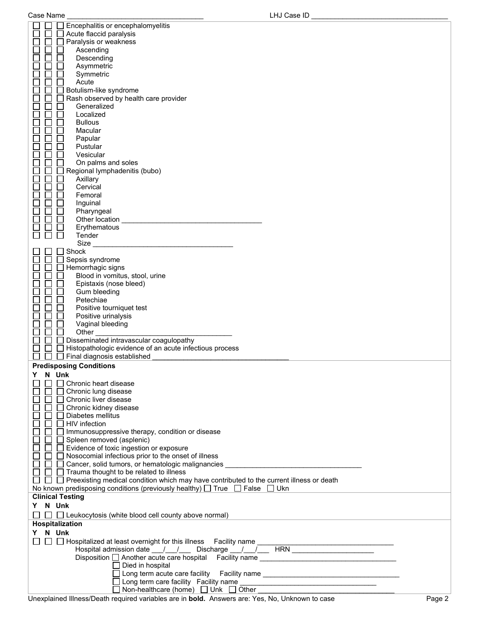Case Name \_\_\_\_\_\_\_\_\_\_\_\_\_\_\_\_\_\_\_\_\_\_\_\_\_\_\_\_\_\_\_\_\_\_\_ LHJ Case ID \_\_\_\_\_\_\_\_\_\_\_\_\_\_\_\_\_\_\_\_\_\_\_\_\_\_\_\_\_\_\_\_\_\_\_

| Encephalitis or encephalomyelitis                                                                                                                                                                   |
|-----------------------------------------------------------------------------------------------------------------------------------------------------------------------------------------------------|
| Acute flaccid paralysis                                                                                                                                                                             |
| Paralysis or weakness                                                                                                                                                                               |
| Ascending                                                                                                                                                                                           |
| Descending                                                                                                                                                                                          |
| Asymmetric                                                                                                                                                                                          |
| Symmetric                                                                                                                                                                                           |
| Acute                                                                                                                                                                                               |
| Botulism-like syndrome                                                                                                                                                                              |
| Rash observed by health care provider                                                                                                                                                               |
| Generalized                                                                                                                                                                                         |
| Localized                                                                                                                                                                                           |
| <b>Bullous</b>                                                                                                                                                                                      |
| Macular                                                                                                                                                                                             |
| Papular                                                                                                                                                                                             |
| Pustular                                                                                                                                                                                            |
| Vesicular                                                                                                                                                                                           |
| On palms and soles                                                                                                                                                                                  |
| Regional lymphadenitis (bubo)                                                                                                                                                                       |
| Axillary                                                                                                                                                                                            |
| Cervical                                                                                                                                                                                            |
| Femoral                                                                                                                                                                                             |
| Inguinal                                                                                                                                                                                            |
| Pharyngeal                                                                                                                                                                                          |
| Other location                                                                                                                                                                                      |
| Erythematous                                                                                                                                                                                        |
| Tender                                                                                                                                                                                              |
| Size                                                                                                                                                                                                |
| Shock                                                                                                                                                                                               |
| Sepsis syndrome                                                                                                                                                                                     |
| Hemorrhagic signs                                                                                                                                                                                   |
| Blood in vomitus, stool, urine                                                                                                                                                                      |
| Epistaxis (nose bleed)                                                                                                                                                                              |
| Gum bleeding                                                                                                                                                                                        |
| Petechiae                                                                                                                                                                                           |
| Positive tourniquet test                                                                                                                                                                            |
| Positive urinalysis                                                                                                                                                                                 |
| Vaginal bleeding                                                                                                                                                                                    |
| Other                                                                                                                                                                                               |
| Disseminated intravascular coagulopathy                                                                                                                                                             |
| Histopathologic evidence of an acute infectious process                                                                                                                                             |
| Final diagnosis established                                                                                                                                                                         |
| <b>Predisposing Conditions</b>                                                                                                                                                                      |
| Υ<br>N Unk                                                                                                                                                                                          |
| Chronic heart disease                                                                                                                                                                               |
| Chronic lung disease                                                                                                                                                                                |
| Chronic liver disease                                                                                                                                                                               |
| □ Chronic kidney disease                                                                                                                                                                            |
| Diabetes mellitus                                                                                                                                                                                   |
| <b>HIV</b> infection                                                                                                                                                                                |
|                                                                                                                                                                                                     |
|                                                                                                                                                                                                     |
| □ Immunosuppressive therapy, condition or disease                                                                                                                                                   |
| $\Box$ Spleen removed (asplenic)                                                                                                                                                                    |
| Evidence of toxic ingestion or exposure                                                                                                                                                             |
| □ Nosocomial infectious prior to the onset of illness                                                                                                                                               |
|                                                                                                                                                                                                     |
| $\Box$ $\Box$ Trauma thought to be related to illness                                                                                                                                               |
| $\Box$ $\Box$ Preexisting medical condition which may have contributed to the current illness or death<br>No known predisposing conditions (previously healthy) $\Box$ True $\Box$ False $\Box$ Ukn |
| <b>Clinical Testing</b>                                                                                                                                                                             |
|                                                                                                                                                                                                     |
| Y N Unk                                                                                                                                                                                             |
| $\Box$ Leukocytosis (white blood cell county above normal)<br>$\Box$                                                                                                                                |
| Hospitalization                                                                                                                                                                                     |
| Y N Unk                                                                                                                                                                                             |
|                                                                                                                                                                                                     |
|                                                                                                                                                                                                     |
| Disposition another acute care hospital Facility name ___________________________                                                                                                                   |
| $\Box$ Died in hospital                                                                                                                                                                             |
| □ Long term acute care facility  Facility name _________________________________                                                                                                                    |
| $\Box$ Non-healthcare (home) $\Box$ Unk $\Box$ Other ___________________________                                                                                                                    |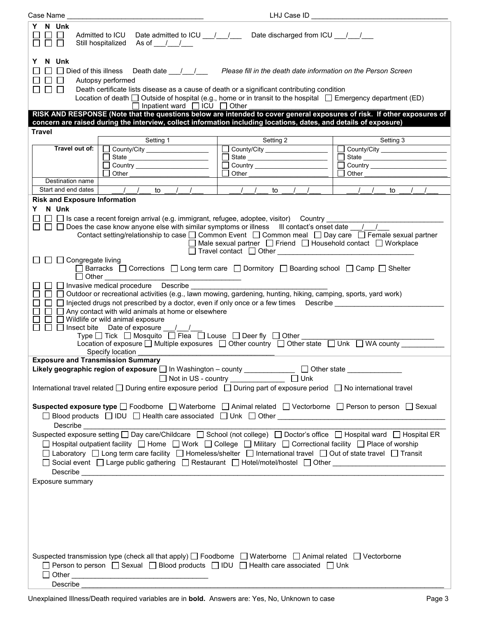| Case Name                                                                                                                                                                                                                                         |                                                                                                                                                                                                                                                                                                                                              | LHJ Case ID                                                                        |                                                                             |
|---------------------------------------------------------------------------------------------------------------------------------------------------------------------------------------------------------------------------------------------------|----------------------------------------------------------------------------------------------------------------------------------------------------------------------------------------------------------------------------------------------------------------------------------------------------------------------------------------------|------------------------------------------------------------------------------------|-----------------------------------------------------------------------------|
| Y N Unk<br>$\Box$<br>Date admitted to ICU __/__/___ Date discharged from ICU __/__/__<br>Admitted to ICU<br>$\Box$<br>П<br>Still hospitalized As of //                                                                                            |                                                                                                                                                                                                                                                                                                                                              |                                                                                    |                                                                             |
| N Unk<br>Y<br>$\Box$ $\Box$                                                                                                                                                                                                                       | □ Died of this illness Death date <u>/ /</u><br>Autopsy performed<br>Death certificate lists disease as a cause of death or a significant contributing condition<br>Location of death $\Box$ Outside of hospital (e.g., home or in transit to the hospital $\Box$ Emergency department (ED)<br>$\Box$ Inpatient ward $\Box$ ICU $\Box$ Other | Please fill in the death date information on the Person Screen                     |                                                                             |
|                                                                                                                                                                                                                                                   | RISK AND RESPONSE (Note that the questions below are intended to cover general exposures of risk. If other exposures of                                                                                                                                                                                                                      |                                                                                    |                                                                             |
|                                                                                                                                                                                                                                                   | concern are raised during the interview, collect information including locations, dates, and details of exposure)                                                                                                                                                                                                                            |                                                                                    |                                                                             |
| <b>Travel</b>                                                                                                                                                                                                                                     |                                                                                                                                                                                                                                                                                                                                              |                                                                                    |                                                                             |
| Travel out of:                                                                                                                                                                                                                                    | Setting 1                                                                                                                                                                                                                                                                                                                                    | Setting 2                                                                          | Setting 3                                                                   |
|                                                                                                                                                                                                                                                   | County/City ________________                                                                                                                                                                                                                                                                                                                 | County/City ___________________                                                    | County/City ______________________<br>$\begin{array}{c} \hline \end{array}$ |
|                                                                                                                                                                                                                                                   |                                                                                                                                                                                                                                                                                                                                              | State                                                                              | $\Box$                                                                      |
|                                                                                                                                                                                                                                                   | Other                                                                                                                                                                                                                                                                                                                                        | Other                                                                              | Other                                                                       |
| Destination name                                                                                                                                                                                                                                  |                                                                                                                                                                                                                                                                                                                                              |                                                                                    |                                                                             |
| Start and end dates                                                                                                                                                                                                                               | $\overline{\phantom{a}}$ / /<br>to                                                                                                                                                                                                                                                                                                           | to                                                                                 | to                                                                          |
|                                                                                                                                                                                                                                                   |                                                                                                                                                                                                                                                                                                                                              |                                                                                    |                                                                             |
| <b>Risk and Exposure Information</b>                                                                                                                                                                                                              |                                                                                                                                                                                                                                                                                                                                              |                                                                                    |                                                                             |
| N Unk<br>Y.                                                                                                                                                                                                                                       |                                                                                                                                                                                                                                                                                                                                              |                                                                                    |                                                                             |
|                                                                                                                                                                                                                                                   | □ Is case a recent foreign arrival (e.g. immigrant, refugee, adoptee, visitor) Country _                                                                                                                                                                                                                                                     |                                                                                    |                                                                             |
|                                                                                                                                                                                                                                                   | $\Box$ Does the case know anyone else with similar symptoms or illness III contact's onset date $\Box$                                                                                                                                                                                                                                       |                                                                                    |                                                                             |
|                                                                                                                                                                                                                                                   | Contact setting/relationship to case □ Common Event □ Common meal □ Day care □ Female sexual partner                                                                                                                                                                                                                                         |                                                                                    |                                                                             |
|                                                                                                                                                                                                                                                   |                                                                                                                                                                                                                                                                                                                                              | $\Box$ Male sexual partner $\Box$ Friend $\Box$ Household contact $\Box$ Workplace |                                                                             |
|                                                                                                                                                                                                                                                   |                                                                                                                                                                                                                                                                                                                                              | □ Travel contact □ Other ___________                                               |                                                                             |
| $\Box$ $\Box$ Congregate living                                                                                                                                                                                                                   |                                                                                                                                                                                                                                                                                                                                              |                                                                                    |                                                                             |
|                                                                                                                                                                                                                                                   | $□$ Barracks $□$ Corrections $□$ Long term care $□$ Dormitory $□$ Boarding school $□$ Camp $□$ Shelter                                                                                                                                                                                                                                       |                                                                                    |                                                                             |
|                                                                                                                                                                                                                                                   | $\Box$ Other $\_\_$                                                                                                                                                                                                                                                                                                                          |                                                                                    |                                                                             |
|                                                                                                                                                                                                                                                   | □ □ Invasive medical procedure Describe _____                                                                                                                                                                                                                                                                                                |                                                                                    |                                                                             |
|                                                                                                                                                                                                                                                   | □ □ Outdoor or recreational activities (e.g., lawn mowing, gardening, hunting, hiking, camping, sports, yard work)                                                                                                                                                                                                                           |                                                                                    |                                                                             |
|                                                                                                                                                                                                                                                   | $\Box$ Injected drugs not prescribed by a doctor, even if only once or a few times Describe $\Box$                                                                                                                                                                                                                                           |                                                                                    |                                                                             |
|                                                                                                                                                                                                                                                   | $\Box$ Any contact with wild animals at home or elsewhere                                                                                                                                                                                                                                                                                    |                                                                                    |                                                                             |
|                                                                                                                                                                                                                                                   | $\Box$ Wildlife or wild animal exposure                                                                                                                                                                                                                                                                                                      |                                                                                    |                                                                             |
|                                                                                                                                                                                                                                                   | $\Box$ Insect bite Date of exposure / /                                                                                                                                                                                                                                                                                                      |                                                                                    |                                                                             |
|                                                                                                                                                                                                                                                   | Type $\Box$ Tick $\Box$ Mosquito $\Box$ Flea $\Box$ Louse $\Box$ Deer fly $\Box$ Other                                                                                                                                                                                                                                                       |                                                                                    |                                                                             |
|                                                                                                                                                                                                                                                   | Location of exposure □ Multiple exposures □ Other country □ Other state □ Unk □ WA county                                                                                                                                                                                                                                                    |                                                                                    |                                                                             |
|                                                                                                                                                                                                                                                   | Specify location                                                                                                                                                                                                                                                                                                                             |                                                                                    |                                                                             |
| <b>Exposure and Transmission Summary</b>                                                                                                                                                                                                          |                                                                                                                                                                                                                                                                                                                                              |                                                                                    |                                                                             |
|                                                                                                                                                                                                                                                   | Likely geographic region of exposure □ In Washington - county ___________ □ Other state ___________                                                                                                                                                                                                                                          |                                                                                    |                                                                             |
|                                                                                                                                                                                                                                                   |                                                                                                                                                                                                                                                                                                                                              | □ Not in US - country _______________ □ Unk                                        |                                                                             |
|                                                                                                                                                                                                                                                   | International travel related □ During entire exposure period □ During part of exposure period □ No international travel                                                                                                                                                                                                                      |                                                                                    |                                                                             |
|                                                                                                                                                                                                                                                   |                                                                                                                                                                                                                                                                                                                                              |                                                                                    |                                                                             |
|                                                                                                                                                                                                                                                   |                                                                                                                                                                                                                                                                                                                                              |                                                                                    |                                                                             |
|                                                                                                                                                                                                                                                   | Suspected exposure type □ Foodborne □ Waterborne □ Animal related □ Vectorborne □ Person to person □ Sexual                                                                                                                                                                                                                                  |                                                                                    |                                                                             |
|                                                                                                                                                                                                                                                   |                                                                                                                                                                                                                                                                                                                                              |                                                                                    |                                                                             |
|                                                                                                                                                                                                                                                   |                                                                                                                                                                                                                                                                                                                                              |                                                                                    |                                                                             |
|                                                                                                                                                                                                                                                   | Suspected exposure setting □ Day care/Childcare □ School (not college) □ Doctor's office □ Hospital ward □ Hospital ER                                                                                                                                                                                                                       |                                                                                    |                                                                             |
| □ Hospital outpatient facility □ Home □ Work □ College □ Military □ Correctional facility □ Place of worship                                                                                                                                      |                                                                                                                                                                                                                                                                                                                                              |                                                                                    |                                                                             |
|                                                                                                                                                                                                                                                   |                                                                                                                                                                                                                                                                                                                                              |                                                                                    |                                                                             |
| □ Laboratory □ Long term care facility □ Homeless/shelter □ International travel □ Out of state travel □ Transit                                                                                                                                  |                                                                                                                                                                                                                                                                                                                                              |                                                                                    |                                                                             |
| □ Social event □ Large public gathering □ Restaurant □ Hotel/motel/hostel □ Other ____________________________                                                                                                                                    |                                                                                                                                                                                                                                                                                                                                              |                                                                                    |                                                                             |
| Describe <b>contract and the contract of the contract of the contract of the contract of the contract of the contract of the contract of the contract of the contract of the contract of the contract of the contract of the con</b>              |                                                                                                                                                                                                                                                                                                                                              |                                                                                    |                                                                             |
| Exposure summary                                                                                                                                                                                                                                  |                                                                                                                                                                                                                                                                                                                                              |                                                                                    |                                                                             |
|                                                                                                                                                                                                                                                   |                                                                                                                                                                                                                                                                                                                                              |                                                                                    |                                                                             |
|                                                                                                                                                                                                                                                   |                                                                                                                                                                                                                                                                                                                                              |                                                                                    |                                                                             |
|                                                                                                                                                                                                                                                   |                                                                                                                                                                                                                                                                                                                                              |                                                                                    |                                                                             |
|                                                                                                                                                                                                                                                   |                                                                                                                                                                                                                                                                                                                                              |                                                                                    |                                                                             |
|                                                                                                                                                                                                                                                   |                                                                                                                                                                                                                                                                                                                                              |                                                                                    |                                                                             |
|                                                                                                                                                                                                                                                   |                                                                                                                                                                                                                                                                                                                                              |                                                                                    |                                                                             |
|                                                                                                                                                                                                                                                   |                                                                                                                                                                                                                                                                                                                                              |                                                                                    |                                                                             |
|                                                                                                                                                                                                                                                   |                                                                                                                                                                                                                                                                                                                                              |                                                                                    |                                                                             |
|                                                                                                                                                                                                                                                   |                                                                                                                                                                                                                                                                                                                                              |                                                                                    |                                                                             |
| Suspected transmission type (check all that apply) $\Box$ Foodborne $\Box$ Waterborne $\Box$ Animal related $\Box$ Vectorborne<br>$\Box$ Person to person $\Box$ Sexual $\Box$ Blood products $\Box$ IDU $\Box$ Health care associated $\Box$ Unk |                                                                                                                                                                                                                                                                                                                                              |                                                                                    |                                                                             |
|                                                                                                                                                                                                                                                   |                                                                                                                                                                                                                                                                                                                                              |                                                                                    |                                                                             |
|                                                                                                                                                                                                                                                   |                                                                                                                                                                                                                                                                                                                                              |                                                                                    |                                                                             |
| <b>Describe</b>                                                                                                                                                                                                                                   |                                                                                                                                                                                                                                                                                                                                              |                                                                                    |                                                                             |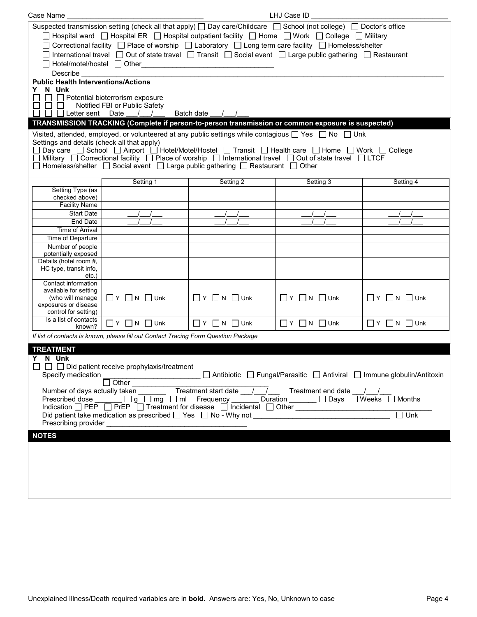| Case Name                                                                                                                                                                                                                                                                                                                                                                                                                                                                                                                                                                                                                            |                                                                                     |                                  | LHJ Case ID                  |                                  |
|--------------------------------------------------------------------------------------------------------------------------------------------------------------------------------------------------------------------------------------------------------------------------------------------------------------------------------------------------------------------------------------------------------------------------------------------------------------------------------------------------------------------------------------------------------------------------------------------------------------------------------------|-------------------------------------------------------------------------------------|----------------------------------|------------------------------|----------------------------------|
| Suspected transmission setting (check all that apply) $\Box$ Day care/Childcare $\Box$ School (not college) $\Box$ Doctor's office<br>□ Hospital ward □ Hospital ER □ Hospital outpatient facility □ Home □ Work □ College □ Military<br>□ Correctional facility □ Place of worship □ Laboratory □ Long term care facility □ Homeless/shelter<br>$\Box$ International travel $\Box$ Out of state travel $\Box$ Transit $\Box$ Social event $\Box$ Large public gathering $\Box$ Restaurant<br>□ Hotel/motel/hostel □ Other<br>Describe                                                                                               |                                                                                     |                                  |                              |                                  |
| <b>Public Health Interventions/Actions</b><br>N Unk<br>Y.<br>$\sqcap$ Letter sent                                                                                                                                                                                                                                                                                                                                                                                                                                                                                                                                                    | $\Box$ Potential bioterrorism exposure<br>Notified FBI or Public Safety<br>Date     | Batch date                       |                              |                                  |
|                                                                                                                                                                                                                                                                                                                                                                                                                                                                                                                                                                                                                                      |                                                                                     |                                  |                              |                                  |
| TRANSMISSION TRACKING (Complete if person-to-person transmission or common exposure is suspected)<br>Visited, attended, employed, or volunteered at any public settings while contagious $\Box$ Yes $\Box$ No $\Box$ Unk<br>Settings and details (check all that apply)<br>コ Day care ロ School ロ Airport ロ Hotel/Motel/Hostel ロ Transit ロ Health care ロ Home ロ Work ロ College<br>$\Box$ Military $\Box$ Correctional facility $\Box$ Place of worship $\Box$ International travel $\Box$ Out of state travel $\Box$ LTCF<br>$\Box$ Homeless/shelter $\Box$ Social event $\Box$ Large public gathering $\Box$ Restaurant $\Box$ Other |                                                                                     |                                  |                              |                                  |
|                                                                                                                                                                                                                                                                                                                                                                                                                                                                                                                                                                                                                                      | Setting 1                                                                           | Setting 2                        | Setting 3                    | Setting 4                        |
| Setting Type (as<br>checked above)<br><b>Facility Name</b>                                                                                                                                                                                                                                                                                                                                                                                                                                                                                                                                                                           |                                                                                     |                                  |                              |                                  |
| <b>Start Date</b>                                                                                                                                                                                                                                                                                                                                                                                                                                                                                                                                                                                                                    |                                                                                     |                                  |                              |                                  |
| End Date                                                                                                                                                                                                                                                                                                                                                                                                                                                                                                                                                                                                                             |                                                                                     |                                  |                              |                                  |
| <b>Time of Arrival</b>                                                                                                                                                                                                                                                                                                                                                                                                                                                                                                                                                                                                               |                                                                                     |                                  |                              |                                  |
| Time of Departure                                                                                                                                                                                                                                                                                                                                                                                                                                                                                                                                                                                                                    |                                                                                     |                                  |                              |                                  |
| Number of people<br>potentially exposed                                                                                                                                                                                                                                                                                                                                                                                                                                                                                                                                                                                              |                                                                                     |                                  |                              |                                  |
| Details (hotel room #,                                                                                                                                                                                                                                                                                                                                                                                                                                                                                                                                                                                                               |                                                                                     |                                  |                              |                                  |
| HC type, transit info,                                                                                                                                                                                                                                                                                                                                                                                                                                                                                                                                                                                                               |                                                                                     |                                  |                              |                                  |
| etc.                                                                                                                                                                                                                                                                                                                                                                                                                                                                                                                                                                                                                                 |                                                                                     |                                  |                              |                                  |
| Contact information                                                                                                                                                                                                                                                                                                                                                                                                                                                                                                                                                                                                                  |                                                                                     |                                  |                              |                                  |
| available for setting<br>(who will manage                                                                                                                                                                                                                                                                                                                                                                                                                                                                                                                                                                                            | $\Box$ Y $\Box$ N $\Box$ Unk                                                        | $\Box$ $Y$ $\Box$ $N$ $\Box$ Unk | $\Box$ Y $\Box$ N $\Box$ Unk | $\Box Y$ $\Box N$ $\Box$ Unk     |
| exposures or disease                                                                                                                                                                                                                                                                                                                                                                                                                                                                                                                                                                                                                 |                                                                                     |                                  |                              |                                  |
| control for setting)                                                                                                                                                                                                                                                                                                                                                                                                                                                                                                                                                                                                                 |                                                                                     |                                  |                              |                                  |
| Is a list of contacts<br>known?                                                                                                                                                                                                                                                                                                                                                                                                                                                                                                                                                                                                      | $\Box$ $Y$ $\Box$ $N$ $\Box$ Unk                                                    | $\Box$ Y $\Box$ N $\Box$ Unk     | $\Box$ Y $\Box$ N $\Box$ Unk | $\Box$ $Y$ $\Box$ $N$ $\Box$ Unk |
|                                                                                                                                                                                                                                                                                                                                                                                                                                                                                                                                                                                                                                      | If list of contacts is known, please fill out Contact Tracing Form Question Package |                                  |                              |                                  |
|                                                                                                                                                                                                                                                                                                                                                                                                                                                                                                                                                                                                                                      |                                                                                     |                                  |                              |                                  |
| <b>TREATMENT</b><br>Y N Unk<br>$\Box$ $\Box$ Did patient receive prophylaxis/treatment<br>□ Antibiotic □ Fungal/Parasitic □ Antiviral □ Immune globulin/Antitoxin<br>Specify medication<br>$\overline{\bigcirc}$ Other<br>Number of days actually taken <u>The Treatment start date <math>\frac{1}{\sqrt{2}}</math></u> Treatment end date $\frac{1}{\sqrt{2}}$ Months<br>Indication □ PEP □ PrEP □ Treatment for disease □ Incidental □ Other ___________________<br>Unk<br>Did patient take medication as prescribed $\Box$ Yes $\Box$ No - Why not $\Box$                                                                         |                                                                                     |                                  |                              |                                  |
| <b>NOTES</b>                                                                                                                                                                                                                                                                                                                                                                                                                                                                                                                                                                                                                         |                                                                                     |                                  |                              |                                  |
|                                                                                                                                                                                                                                                                                                                                                                                                                                                                                                                                                                                                                                      |                                                                                     |                                  |                              |                                  |